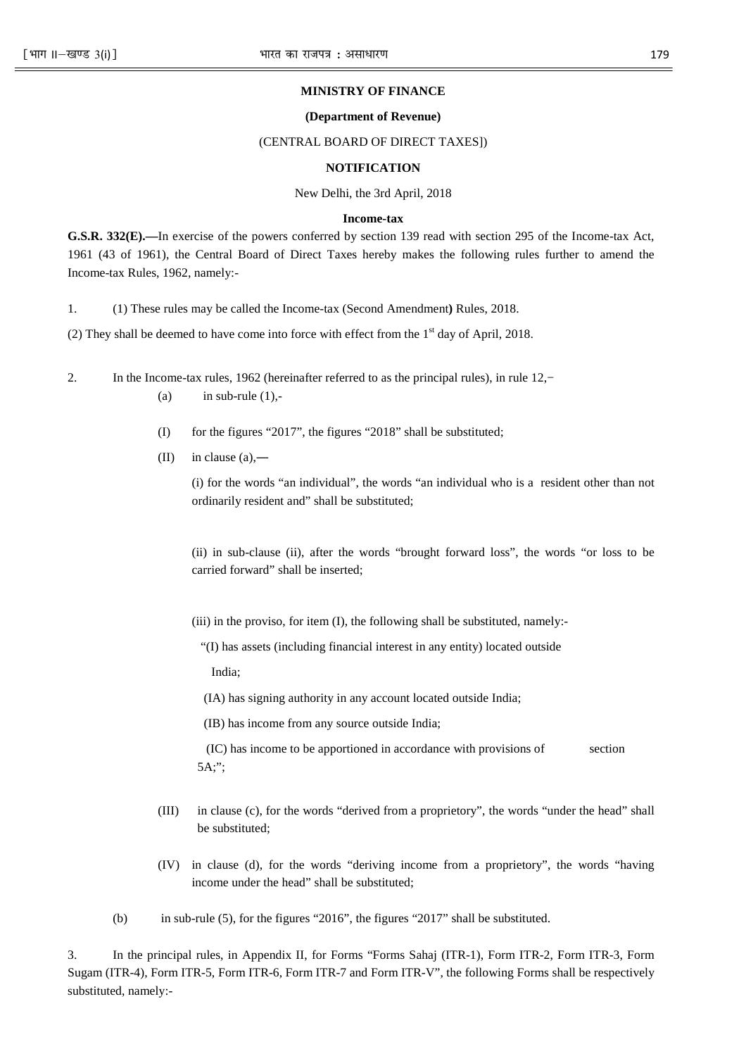## **MINISTRY OF FINANCE**

# **(Department of Revenue)**

## (CENTRAL BOARD OF DIRECT TAXES])

#### **NOTIFICATION**

New Delhi, the 3rd April, 2018

#### **Income-tax**

**G.S.R. 332(E).—**In exercise of the powers conferred by section 139 read with section 295 of the Income-tax Act, 1961 (43 of 1961), the Central Board of Direct Taxes hereby makes the following rules further to amend the Income-tax Rules, 1962, namely:-

1. (1) These rules may be called the Income-tax (Second Amendment**)** Rules, 2018.

(2) They shall be deemed to have come into force with effect from the  $1<sup>st</sup>$  day of April, 2018.

2. In the Income-tax rules, 1962 (hereinafter referred to as the principal rules), in rule 12,−

- (a) in sub-rule  $(1)$ ,-
- (I) for the figures "2017", the figures "2018" shall be substituted;
- $(II)$  in clause  $(a)$ ,—

 (i) for the words "an individual", the words "an individual who is a resident other than not ordinarily resident and" shall be substituted;

 (ii) in sub-clause (ii), after the words "brought forward loss", the words "or loss to be carried forward" shall be inserted;

(iii) in the proviso, for item (I), the following shall be substituted, namely:-

"(I) has assets (including financial interest in any entity) located outside

India;

(IA) has signing authority in any account located outside India;

(IB) has income from any source outside India;

 (IC) has income to be apportioned in accordance with provisions of section 5A;";

- (III) in clause (c), for the words "derived from a proprietory", the words "under the head" shall be substituted;
- (IV) in clause (d), for the words "deriving income from a proprietory", the words "having income under the head" shall be substituted;
- (b) in sub-rule (5), for the figures "2016", the figures "2017" shall be substituted.

3. In the principal rules, in Appendix II, for Forms "Forms Sahaj (ITR-1), Form ITR-2, Form ITR-3, Form Sugam (ITR-4), Form ITR-5, Form ITR-6, Form ITR-7 and Form ITR-V", the following Forms shall be respectively substituted, namely:-